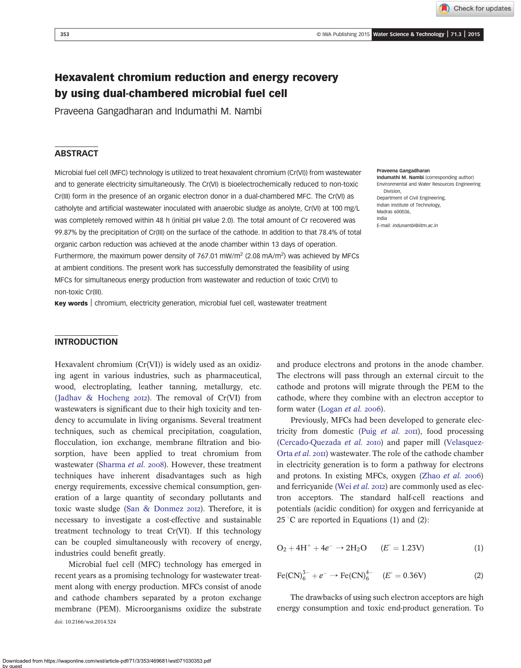Check for updates

# Hexavalent chromium reduction and energy recovery by using dual-chambered microbial fuel cell

Praveena Gangadharan and Indumathi M. Nambi

## **ABSTRACT**

Microbial fuel cell (MFC) technology is utilized to treat hexavalent chromium (Cr(VI)) from wastewater and to generate electricity simultaneously. The Cr(VI) is bioelectrochemically reduced to non-toxic Cr(III) form in the presence of an organic electron donor in a dual-chambered MFC. The Cr(VI) as catholyte and artificial wastewater inoculated with anaerobic sludge as anolyte, Cr(VI) at 100 mg/L was completely removed within 48 h (initial pH value 2.0). The total amount of Cr recovered was 99.87% by the precipitation of Cr(III) on the surface of the cathode. In addition to that 78.4% of total organic carbon reduction was achieved at the anode chamber within 13 days of operation. Furthermore, the maximum power density of 767.01 mW/m<sup>2</sup> (2.08 mA/m<sup>2</sup>) was achieved by MFCs at ambient conditions. The present work has successfully demonstrated the feasibility of using MFCs for simultaneous energy production from wastewater and reduction of toxic Cr(VI) to non-toxic Cr(III).

Key words | chromium, electricity generation, microbial fuel cell, wastewater treatment

#### Praveena Gangadharan

Indumathi M. Nambi (corresponding author) Environmental and Water Resources Engineering Division, Department of Civil Engineering, Indian Institute of Technology, Madras 600036, India E-mail: [indunambi@iitm.ac.in](mailto:indunambi@iitm.ac.in)

## **INTRODUCTION**

Hexavalent chromium (Cr(VI)) is widely used as an oxidizing agent in various industries, such as pharmaceutical, wood, electroplating, leather tanning, metallurgy, etc. ([Jadhav & Hocheng](#page-5-0) 2012). The removal of  $Cr(VI)$  from wastewaters is significant due to their high toxicity and tendency to accumulate in living organisms. Several treatment techniques, such as chemical precipitation, coagulation, flocculation, ion exchange, membrane filtration and biosorption, have been applied to treat chromium from wastewater [\(Sharma](#page-5-0) et al. 2008). However, these treatment techniques have inherent disadvantages such as high energy requirements, excessive chemical consumption, generation of a large quantity of secondary pollutants and toxic waste sludge ([San & Donmez](#page-5-0) 2012). Therefore, it is necessary to investigate a cost-effective and sustainable treatment technology to treat Cr(VI). If this technology can be coupled simultaneously with recovery of energy, industries could benefit greatly.

Microbial fuel cell (MFC) technology has emerged in recent years as a promising technology for wastewater treatment along with energy production. MFCs consist of anode and cathode chambers separated by a proton exchange membrane (PEM). Microorganisms oxidize the substrate doi: 10.2166/wst.2014.524

and produce electrons and protons in the anode chamber. The electrons will pass through an external circuit to the cathode and protons will migrate through the PEM to the cathode, where they combine with an electron acceptor to form water [\(Logan](#page-5-0) et al. 2006).

Previously, MFCs had been developed to generate electricity from domestic (Puig [et al.](#page-5-0)  $20\text{H}$ ), food processing [\(Cercado-Quezada](#page-5-0) et al. 2010) and paper mill [\(Velasquez](#page-5-0)Orta [et al.](#page-5-0) 2011) wastewater. The role of the cathode chamber in electricity generation is to form a pathway for electrons and protons. In existing MFCs, oxygen ([Zhao](#page-5-0) et al. 2006) and ferricyanide (Wei [et al.](#page-5-0) 2012) are commonly used as electron acceptors. The standard half-cell reactions and potentials (acidic condition) for oxygen and ferricyanide at 25 °C are reported in Equations (1) and (2):

$$
O_2 + 4H^+ + 4e^- \to 2H_2O \qquad (E^\circ = 1.23V) \tag{1}
$$

$$
\text{Fe(CN)}_{6}^{3-} + e^{-} \rightarrow \text{Fe(CN)}_{6}^{4-} \quad (E^{\circ} = 0.36 \text{V}) \tag{2}
$$

The drawbacks of using such electron acceptors are high energy consumption and toxic end-product generation. To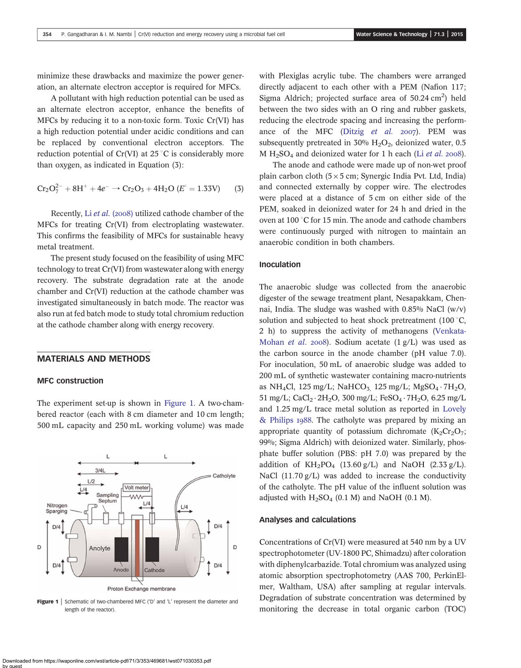minimize these drawbacks and maximize the power generation, an alternate electron acceptor is required for MFCs.

A pollutant with high reduction potential can be used as an alternate electron acceptor, enhance the benefits of MFCs by reducing it to a non-toxic form. Toxic Cr(VI) has a high reduction potential under acidic conditions and can be replaced by conventional electron acceptors. The reduction potential of Cr(VI) at 25  $^{\circ}$ C is considerably more than oxygen, as indicated in Equation (3):

$$
Cr_2O_7^{2-} + 8H^+ + 4e^- \rightarrow Cr_2O_3 + 4H_2O (E^\circ = 1.33V) \tag{3}
$$

Recently, Li [et al.](#page-5-0) (2008) utilized cathode chamber of the MFCs for treating Cr(VI) from electroplating wastewater. This confirms the feasibility of MFCs for sustainable heavy metal treatment.

The present study focused on the feasibility of using MFC technology to treat Cr(VI) from wastewater along with energy recovery. The substrate degradation rate at the anode chamber and Cr(VI) reduction at the cathode chamber was investigated simultaneously in batch mode. The reactor was also run at fed batch mode to study total chromium reduction at the cathode chamber along with energy recovery.

#### MATERIALS AND METHODS

#### MFC construction

The experiment set-up is shown in Figure 1. A two-chambered reactor (each with 8 cm diameter and 10 cm length; 500 mL capacity and 250 mL working volume) was made



**Figure 1** Schematic of two-chambered MFC ('D' and 'L' represent the diameter and length of the reactor).

with Plexiglas acrylic tube. The chambers were arranged directly adjacent to each other with a PEM (Nafion 117; Sigma Aldrich; projected surface area of  $50.24 \text{ cm}^2$ ) held between the two sides with an O ring and rubber gaskets, reducing the electrode spacing and increasing the performance of the MFC (Ditzig [et al.](#page-5-0)  $2007$ ). PEM was subsequently pretreated in 30%  $H_2O_2$ , deionized water, 0.5 M  $H<sub>2</sub>SO<sub>4</sub>$  and deionized water for 1 h each (Li [et al.](#page-5-0) 2008).

The anode and cathode were made up of non-wet proof plain carbon cloth  $(5 \times 5 \text{ cm})$ ; Synergic India Pvt. Ltd, India) and connected externally by copper wire. The electrodes were placed at a distance of 5 cm on either side of the PEM, soaked in deionized water for 24 h and dried in the oven at  $100\degree$ C for 15 min. The anode and cathode chambers were continuously purged with nitrogen to maintain an anaerobic condition in both chambers.

#### Inoculation

The anaerobic sludge was collected from the anaerobic digester of the sewage treatment plant, Nesapakkam, Chennai, India. The sludge was washed with  $0.85\%$  NaCl (w/v) solution and subjected to heat shock pretreatment  $(100\degree C,$ 2 h) to suppress the activity of methanogens [\(Venkata-](#page-5-0)[Mohan](#page-5-0) et al. 2008). Sodium acetate  $(1 g/L)$  was used as the carbon source in the anode chamber (pH value 7.0). For inoculation, 50 mL of anaerobic sludge was added to 200 mL of synthetic wastewater containing macro-nutrients as NH<sub>4</sub>Cl, 125 mg/L; NaHCO<sub>3</sub> 125 mg/L; MgSO<sub>4</sub> · 7H<sub>2</sub>O, 51 mg/L; CaCl<sub>2</sub> · 2H<sub>2</sub>O, 300 mg/L; FeSO<sub>4</sub> · 7H<sub>2</sub>O, 6.25 mg/L and 1.25 mg/L trace metal solution as reported in [Lovely](#page-5-0)  $&$  Philips 1988. The catholyte was prepared by mixing an appropriate quantity of potassium dichromate  $(K_2Cr_2O_7;$ 99%; Sigma Aldrich) with deionized water. Similarly, phosphate buffer solution (PBS: pH 7.0) was prepared by the addition of  $KH_2PO_4$  (13.60 g/L) and NaOH (2.33 g/L). NaCl (11.70 g/L) was added to increase the conductivity of the catholyte. The pH value of the influent solution was adjusted with  $H_2SO_4$  (0.1 M) and NaOH (0.1 M).

#### Analyses and calculations

Concentrations of Cr(VI) were measured at 540 nm by a UV spectrophotometer (UV-1800 PC, Shimadzu) after coloration with diphenylcarbazide. Total chromium was analyzed using atomic absorption spectrophotometry (AAS 700, PerkinElmer, Waltham, USA) after sampling at regular intervals. Degradation of substrate concentration was determined by monitoring the decrease in total organic carbon (TOC)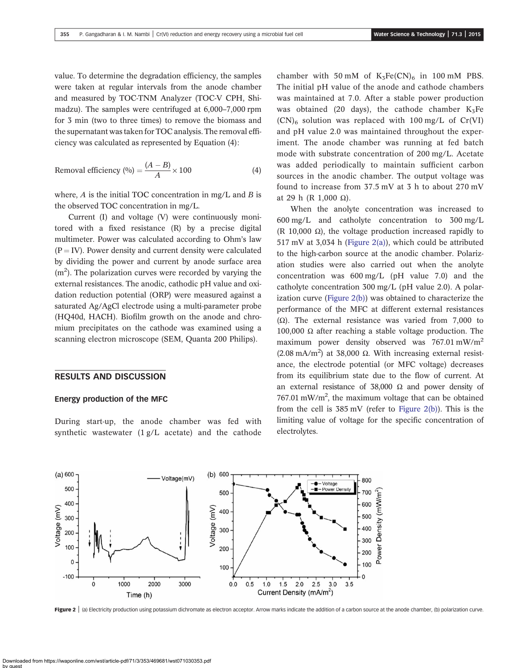value. To determine the degradation efficiency, the samples were taken at regular intervals from the anode chamber and measured by TOC-TNM Analyzer (TOC-V CPH, Shimadzu). The samples were centrifuged at 6,000–7,000 rpm for 3 min (two to three times) to remove the biomass and the supernatant was taken for TOC analysis. The removal efficiency was calculated as represented by Equation (4):

Removal efficiency 
$$
(\%) = \frac{(A - B)}{A} \times 100
$$
 (4)

where,  $A$  is the initial TOC concentration in mg/L and  $B$  is the observed TOC concentration in mg/L.

Current (I) and voltage (V) were continuously monitored with a fixed resistance (R) by a precise digital multimeter. Power was calculated according to Ohm's law  $(P = IV)$ . Power density and current density were calculated by dividing the power and current by anode surface area (m<sup>2</sup>). The polarization curves were recorded by varying the external resistances. The anodic, cathodic pH value and oxidation reduction potential (ORP) were measured against a saturated Ag/AgCl electrode using a multi-parameter probe (HQ40d, HACH). Biofilm growth on the anode and chromium precipitates on the cathode was examined using a scanning electron microscope (SEM, Quanta 200 Philips).

### RESULTS AND DISCUSSION

#### Energy production of the MFC

During start-up, the anode chamber was fed with synthetic wastewater (1 g/L acetate) and the cathode chamber with 50 mM of  $K_3Fe(CN)_6$  in 100 mM PBS. The initial pH value of the anode and cathode chambers was maintained at 7.0. After a stable power production was obtained (20 days), the cathode chamber  $K_5Fe$  $(CN)$ <sub>6</sub> solution was replaced with 100 mg/L of Cr(VI) and pH value 2.0 was maintained throughout the experiment. The anode chamber was running at fed batch mode with substrate concentration of 200 mg/L. Acetate was added periodically to maintain sufficient carbon sources in the anodic chamber. The output voltage was found to increase from 37.5 mV at 3 h to about 270 mV at 29 h (R 1,000 Ω).

When the anolyte concentration was increased to 600 mg/L and catholyte concentration to 300 mg/L (R 10,000  $\Omega$ ), the voltage production increased rapidly to 517 mV at 3,034 h (Figure 2(a)), which could be attributed to the high-carbon source at the anodic chamber. Polarization studies were also carried out when the anolyte concentration was 600 mg/L (pH value 7.0) and the catholyte concentration 300 mg/L (pH value 2.0). A polarization curve (Figure 2(b)) was obtained to characterize the performance of the MFC at different external resistances (Ω). The external resistance was varied from 7,000 to 100,000  $\Omega$  after reaching a stable voltage production. The maximum power density observed was 767.01 mW/m2 (2.08 mA/m<sup>2</sup>) at 38,000 Ω. With increasing external resistance, the electrode potential (or MFC voltage) decreases from its equilibrium state due to the flow of current. At an external resistance of 38,000  $\Omega$  and power density of  $767.01 \text{ mW/m}^2$ , the maximum voltage that can be obtained from the cell is  $385 \text{ mV}$  (refer to Figure 2(b)). This is the limiting value of voltage for the specific concentration of electrolytes.



Figure 2 | (a) Electricity production using potassium dichromate as electron acceptor. Arrow marks indicate the addition of a carbon source at the anode chamber, (b) polarization curve.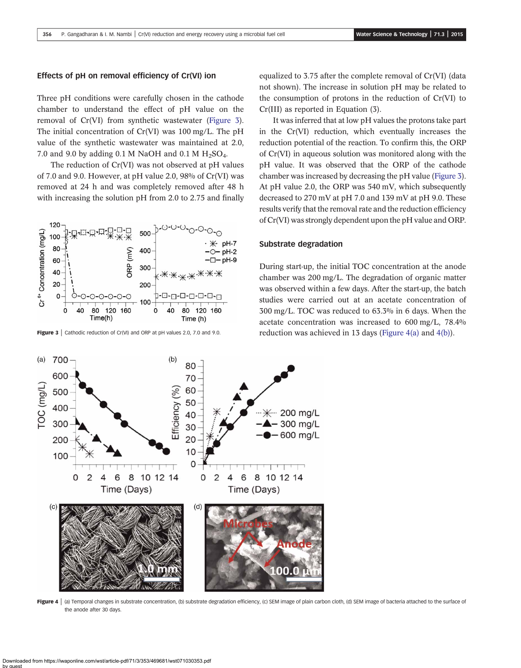#### <span id="page-3-0"></span>Effects of pH on removal efficiency of Cr(VI) ion

Three pH conditions were carefully chosen in the cathode chamber to understand the effect of pH value on the removal of Cr(VI) from synthetic wastewater (Figure 3). The initial concentration of Cr(VI) was 100 mg/L. The pH value of the synthetic wastewater was maintained at 2.0, 7.0 and 9.0 by adding 0.1 M NaOH and 0.1 M  $H_2SO_4$ .

The reduction of Cr(VI) was not observed at pH values of 7.0 and 9.0. However, at pH value 2.0, 98% of Cr(VI) was removed at 24 h and was completely removed after 48 h with increasing the solution pH from 2.0 to 2.75 and finally



equalized to 3.75 after the complete removal of Cr(VI) (data not shown). The increase in solution pH may be related to the consumption of protons in the reduction of Cr(VI) to Cr(III) as reported in Equation (3).

It was inferred that at low pH values the protons take part in the Cr(VI) reduction, which eventually increases the reduction potential of the reaction. To confirm this, the ORP of Cr(VI) in aqueous solution was monitored along with the pH value. It was observed that the ORP of the cathode chamber was increased by decreasing the pH value (Figure 3). At pH value 2.0, the ORP was 540 mV, which subsequently decreased to 270 mV at pH 7.0 and 139 mV at pH 9.0. These results verify that the removal rate and the reduction efficiency of Cr(VI) was strongly dependent upon the pH value and ORP.

#### Substrate degradation

During start-up, the initial TOC concentration at the anode chamber was 200 mg/L. The degradation of organic matter was observed within a few days. After the start-up, the batch studies were carried out at an acetate concentration of 300 mg/L. TOC was reduced to 63.3% in 6 days. When the acetate concentration was increased to 600 mg/L, 78.4% Figure  $3$  | cathodic reduction of Cr(VI) and ORP at pH values 2.0, 7.0 and 9.0. reduction was achieved in 13 days (Figure 4(a) and 4(b)).



Figure 4 | (a) Temporal changes in substrate concentration, (b) substrate degradation efficiency, (c) SEM image of plain carbon cloth, (d) SEM image of bacteria attached to the surface of the anode after 30 days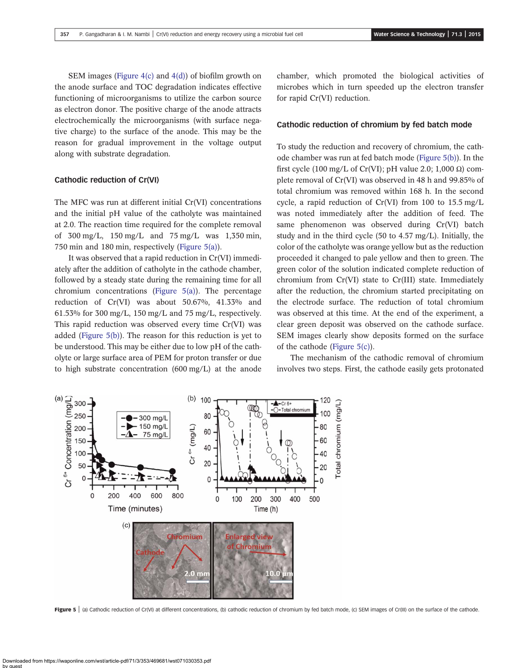SEM images [\(Figure 4\(c\)](#page-3-0) and [4\(d\)](#page-3-0)) of biofilm growth on the anode surface and TOC degradation indicates effective functioning of microorganisms to utilize the carbon source as electron donor. The positive charge of the anode attracts electrochemically the microorganisms (with surface negative charge) to the surface of the anode. This may be the reason for gradual improvement in the voltage output along with substrate degradation.

#### Cathodic reduction of Cr(VI)

The MFC was run at different initial Cr(VI) concentrations and the initial pH value of the catholyte was maintained at 2.0. The reaction time required for the complete removal of 300 mg/L, 150 mg/L and 75 mg/L was 1,350 min, 750 min and 180 min, respectively (Figure 5(a)).

It was observed that a rapid reduction in Cr(VI) immediately after the addition of catholyte in the cathode chamber, followed by a steady state during the remaining time for all chromium concentrations (Figure 5(a)). The percentage reduction of Cr(VI) was about 50.67%, 41.33% and  $61.53\%$  for 300 mg/L, 150 mg/L and 75 mg/L, respectively. This rapid reduction was observed every time Cr(VI) was added (Figure 5(b)). The reason for this reduction is yet to be understood. This may be either due to low pH of the catholyte or large surface area of PEM for proton transfer or due to high substrate concentration (600 mg/L) at the anode chamber, which promoted the biological activities of microbes which in turn speeded up the electron transfer for rapid Cr(VI) reduction.

#### Cathodic reduction of chromium by fed batch mode

To study the reduction and recovery of chromium, the cathode chamber was run at fed batch mode (Figure 5(b)). In the first cycle (100 mg/L of Cr(VI); pH value 2.0; 1,000  $\Omega$ ) complete removal of Cr(VI) was observed in 48 h and 99.85% of total chromium was removed within 168 h. In the second cycle, a rapid reduction of Cr(VI) from 100 to 15.5 mg/L was noted immediately after the addition of feed. The same phenomenon was observed during Cr(VI) batch study and in the third cycle (50 to 4.57 mg/L). Initially, the color of the catholyte was orange yellow but as the reduction proceeded it changed to pale yellow and then to green. The green color of the solution indicated complete reduction of chromium from Cr(VI) state to Cr(III) state. Immediately after the reduction, the chromium started precipitating on the electrode surface. The reduction of total chromium was observed at this time. At the end of the experiment, a clear green deposit was observed on the cathode surface. SEM images clearly show deposits formed on the surface of the cathode (Figure 5(c)).

The mechanism of the cathodic removal of chromium involves two steps. First, the cathode easily gets protonated



Figure 5 | (a) Cathodic reduction of Cr(VI) at different concentrations, (b) cathodic reduction of chromium by fed batch mode, (c) SEM images of Cr(III) on the surface of the cathode